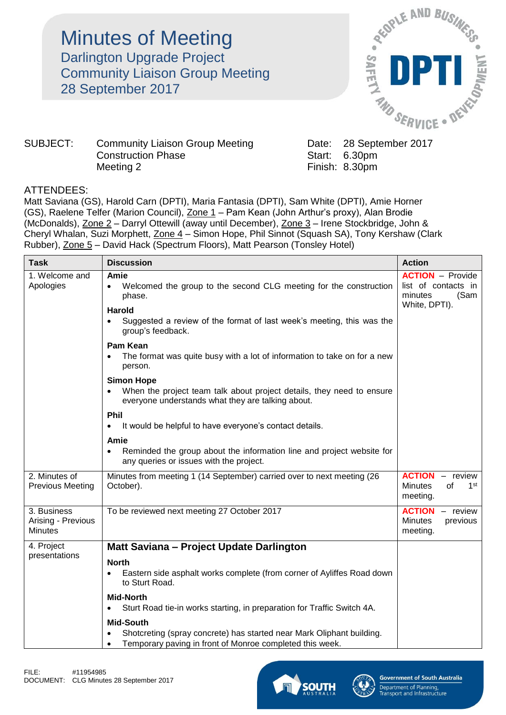Minutes of Meeting Darlington Upgrade Project Community Liaison Group Meeting 28 September 2017



## SUBJECT: Community Liaison Group Meeting Date: 28 September 2017 Construction Phase Start: 6.30pm Meeting 2 Finish: 8.30pm

## ATTENDEES:

Matt Saviana (GS), Harold Carn (DPTI), Maria Fantasia (DPTI), Sam White (DPTI), Amie Horner (GS), Raelene Telfer (Marion Council), Zone 1 – Pam Kean (John Arthur's proxy), Alan Brodie (McDonalds), Zone 2 – Darryl Ottewill (away until December), Zone 3 – Irene Stockbridge, John & Cheryl Whalan, Suzi Morphett, Zone 4 - Simon Hope, Phil Sinnot (Squash SA), Tony Kershaw (Clark Rubber), Zone 5 – David Hack (Spectrum Floors), Matt Pearson (Tonsley Hotel)

| <b>Task</b>                                         | <b>Discussion</b>                                                                                                                                                  | <b>Action</b>                                                                      |
|-----------------------------------------------------|--------------------------------------------------------------------------------------------------------------------------------------------------------------------|------------------------------------------------------------------------------------|
| 1. Welcome and<br>Apologies                         | Amie<br>Welcomed the group to the second CLG meeting for the construction<br>phase.                                                                                | <b>ACTION</b> - Provide<br>list of contacts in<br>minutes<br>(Sam<br>White, DPTI). |
|                                                     | <b>Harold</b><br>Suggested a review of the format of last week's meeting, this was the<br>group's feedback.                                                        |                                                                                    |
|                                                     | <b>Pam Kean</b><br>The format was quite busy with a lot of information to take on for a new<br>person.                                                             |                                                                                    |
|                                                     | <b>Simon Hope</b><br>• When the project team talk about project details, they need to ensure<br>everyone understands what they are talking about.                  |                                                                                    |
|                                                     | Phil<br>It would be helpful to have everyone's contact details.                                                                                                    |                                                                                    |
|                                                     | Amie<br>Reminded the group about the information line and project website for<br>$\bullet$<br>any queries or issues with the project.                              |                                                                                    |
| 2. Minutes of<br><b>Previous Meeting</b>            | Minutes from meeting 1 (14 September) carried over to next meeting (26<br>October).                                                                                | <b>ACTION</b><br>- review<br><b>Minutes</b><br>of<br>1 <sup>st</sup><br>meeting.   |
| 3. Business<br>Arising - Previous<br><b>Minutes</b> | To be reviewed next meeting 27 October 2017                                                                                                                        | <b>ACTION</b><br>- review<br><b>Minutes</b><br>previous<br>meeting.                |
| 4. Project                                          | Matt Saviana - Project Update Darlington                                                                                                                           |                                                                                    |
| presentations                                       | <b>North</b><br>Eastern side asphalt works complete (from corner of Ayliffes Road down<br>to Sturt Road.                                                           |                                                                                    |
|                                                     | <b>Mid-North</b><br>Sturt Road tie-in works starting, in preparation for Traffic Switch 4A.                                                                        |                                                                                    |
|                                                     | <b>Mid-South</b><br>Shotcreting (spray concrete) has started near Mark Oliphant building.<br>Temporary paving in front of Monroe completed this week.<br>$\bullet$ |                                                                                    |



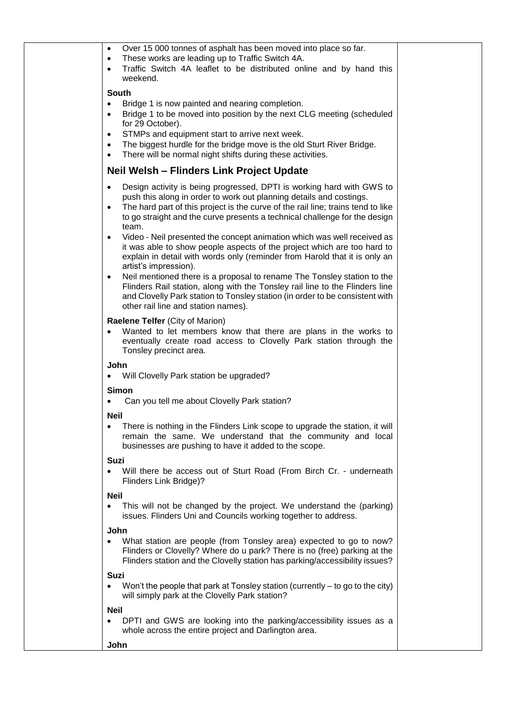| Over 15 000 tonnes of asphalt has been moved into place so far.<br>$\bullet$<br>These works are leading up to Traffic Switch 4A.<br>٠<br>Traffic Switch 4A leaflet to be distributed online and by hand this<br>$\bullet$<br>weekend.                                                                                                             |  |
|---------------------------------------------------------------------------------------------------------------------------------------------------------------------------------------------------------------------------------------------------------------------------------------------------------------------------------------------------|--|
| <b>South</b>                                                                                                                                                                                                                                                                                                                                      |  |
| Bridge 1 is now painted and nearing completion.<br>$\bullet$                                                                                                                                                                                                                                                                                      |  |
| Bridge 1 to be moved into position by the next CLG meeting (scheduled<br>$\bullet$<br>for 29 October).                                                                                                                                                                                                                                            |  |
| STMPs and equipment start to arrive next week.<br>٠<br>The biggest hurdle for the bridge move is the old Sturt River Bridge.<br>٠                                                                                                                                                                                                                 |  |
| There will be normal night shifts during these activities.                                                                                                                                                                                                                                                                                        |  |
| Neil Welsh – Flinders Link Project Update                                                                                                                                                                                                                                                                                                         |  |
| Design activity is being progressed, DPTI is working hard with GWS to<br>$\bullet$<br>push this along in order to work out planning details and costings.<br>The hard part of this project is the curve of the rail line; trains tend to like<br>$\bullet$<br>to go straight and the curve presents a technical challenge for the design<br>team. |  |
| Video - Neil presented the concept animation which was well received as<br>$\bullet$<br>it was able to show people aspects of the project which are too hard to<br>explain in detail with words only (reminder from Harold that it is only an<br>artist's impression).                                                                            |  |
| Neil mentioned there is a proposal to rename The Tonsley station to the<br>٠<br>Flinders Rail station, along with the Tonsley rail line to the Flinders line<br>and Clovelly Park station to Tonsley station (in order to be consistent with<br>other rail line and station names).                                                               |  |
| <b>Raelene Telfer (City of Marion)</b>                                                                                                                                                                                                                                                                                                            |  |
| Wanted to let members know that there are plans in the works to<br>eventually create road access to Clovelly Park station through the<br>Tonsley precinct area.                                                                                                                                                                                   |  |
| John<br>Will Clovelly Park station be upgraded?<br>$\bullet$                                                                                                                                                                                                                                                                                      |  |
| <b>Simon</b><br>Can you tell me about Clovelly Park station?                                                                                                                                                                                                                                                                                      |  |
| <b>Neil</b>                                                                                                                                                                                                                                                                                                                                       |  |
| There is nothing in the Flinders Link scope to upgrade the station, it will<br>$\bullet$<br>remain the same. We understand that the community and local<br>businesses are pushing to have it added to the scope.                                                                                                                                  |  |
| <b>Suzi</b>                                                                                                                                                                                                                                                                                                                                       |  |
| Will there be access out of Sturt Road (From Birch Cr. - underneath<br>Flinders Link Bridge)?                                                                                                                                                                                                                                                     |  |
| <b>Neil</b>                                                                                                                                                                                                                                                                                                                                       |  |
| This will not be changed by the project. We understand the (parking)<br>issues. Flinders Uni and Councils working together to address.                                                                                                                                                                                                            |  |
| John                                                                                                                                                                                                                                                                                                                                              |  |
| What station are people (from Tonsley area) expected to go to now?<br>Flinders or Clovelly? Where do u park? There is no (free) parking at the<br>Flinders station and the Clovelly station has parking/accessibility issues?                                                                                                                     |  |
| <b>Suzi</b>                                                                                                                                                                                                                                                                                                                                       |  |
| Won't the people that park at Tonsley station (currently – to go to the city)<br>$\bullet$<br>will simply park at the Clovelly Park station?                                                                                                                                                                                                      |  |
| <b>Neil</b>                                                                                                                                                                                                                                                                                                                                       |  |
| DPTI and GWS are looking into the parking/accessibility issues as a<br>whole across the entire project and Darlington area.                                                                                                                                                                                                                       |  |
| John                                                                                                                                                                                                                                                                                                                                              |  |
|                                                                                                                                                                                                                                                                                                                                                   |  |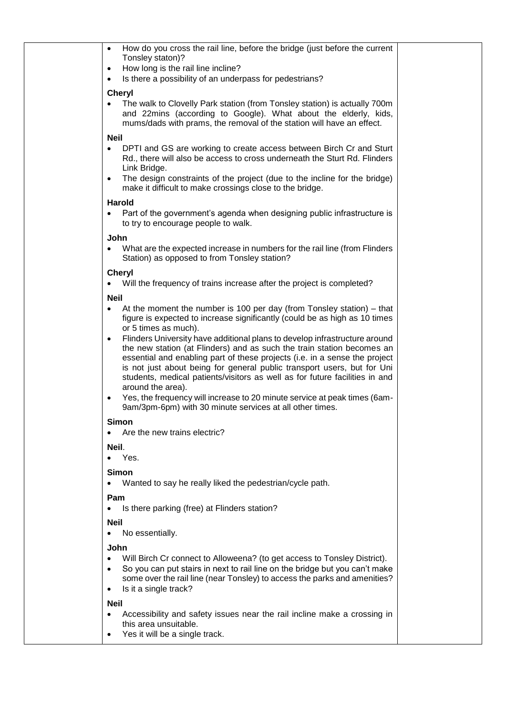| How do you cross the rail line, before the bridge (just before the current<br>$\bullet$                                                                                                                                                                                                                                                                                                                                        |  |
|--------------------------------------------------------------------------------------------------------------------------------------------------------------------------------------------------------------------------------------------------------------------------------------------------------------------------------------------------------------------------------------------------------------------------------|--|
| Tonsley staton)?<br>How long is the rail line incline?<br>$\bullet$                                                                                                                                                                                                                                                                                                                                                            |  |
| Is there a possibility of an underpass for pedestrians?<br>$\bullet$                                                                                                                                                                                                                                                                                                                                                           |  |
| <b>Cheryl</b>                                                                                                                                                                                                                                                                                                                                                                                                                  |  |
| The walk to Clovelly Park station (from Tonsley station) is actually 700m<br>$\bullet$<br>and 22mins (according to Google). What about the elderly, kids,<br>mums/dads with prams, the removal of the station will have an effect.                                                                                                                                                                                             |  |
| <b>Neil</b>                                                                                                                                                                                                                                                                                                                                                                                                                    |  |
| DPTI and GS are working to create access between Birch Cr and Sturt<br>$\bullet$<br>Rd., there will also be access to cross underneath the Sturt Rd. Flinders<br>Link Bridge.                                                                                                                                                                                                                                                  |  |
| The design constraints of the project (due to the incline for the bridge)<br>$\bullet$<br>make it difficult to make crossings close to the bridge.                                                                                                                                                                                                                                                                             |  |
| <b>Harold</b>                                                                                                                                                                                                                                                                                                                                                                                                                  |  |
| Part of the government's agenda when designing public infrastructure is<br>$\bullet$<br>to try to encourage people to walk.                                                                                                                                                                                                                                                                                                    |  |
| John                                                                                                                                                                                                                                                                                                                                                                                                                           |  |
| What are the expected increase in numbers for the rail line (from Flinders<br>Station) as opposed to from Tonsley station?                                                                                                                                                                                                                                                                                                     |  |
| <b>Cheryl</b><br>Will the frequency of trains increase after the project is completed?<br>$\bullet$                                                                                                                                                                                                                                                                                                                            |  |
| <b>Neil</b>                                                                                                                                                                                                                                                                                                                                                                                                                    |  |
| At the moment the number is 100 per day (from Tonsley station) – that<br>$\bullet$<br>figure is expected to increase significantly (could be as high as 10 times<br>or 5 times as much).                                                                                                                                                                                                                                       |  |
| Flinders University have additional plans to develop infrastructure around<br>$\bullet$<br>the new station (at Flinders) and as such the train station becomes an<br>essential and enabling part of these projects (i.e. in a sense the project<br>is not just about being for general public transport users, but for Uni<br>students, medical patients/visitors as well as for future facilities in and<br>around the area). |  |
| Yes, the frequency will increase to 20 minute service at peak times (6am-<br>$\bullet$<br>9am/3pm-6pm) with 30 minute services at all other times.                                                                                                                                                                                                                                                                             |  |
| <b>Simon</b><br>Are the new trains electric?<br>$\bullet$                                                                                                                                                                                                                                                                                                                                                                      |  |
| Neil.                                                                                                                                                                                                                                                                                                                                                                                                                          |  |
| Yes.<br>$\bullet$                                                                                                                                                                                                                                                                                                                                                                                                              |  |
| <b>Simon</b>                                                                                                                                                                                                                                                                                                                                                                                                                   |  |
| Wanted to say he really liked the pedestrian/cycle path.<br>$\bullet$                                                                                                                                                                                                                                                                                                                                                          |  |
| Pam<br>Is there parking (free) at Flinders station?<br>٠                                                                                                                                                                                                                                                                                                                                                                       |  |
| <b>Neil</b>                                                                                                                                                                                                                                                                                                                                                                                                                    |  |
| No essentially.<br>$\bullet$                                                                                                                                                                                                                                                                                                                                                                                                   |  |
| John                                                                                                                                                                                                                                                                                                                                                                                                                           |  |
| Will Birch Cr connect to Alloweena? (to get access to Tonsley District).<br>$\bullet$<br>So you can put stairs in next to rail line on the bridge but you can't make<br>$\bullet$<br>some over the rail line (near Tonsley) to access the parks and amenities?<br>Is it a single track?<br>٠                                                                                                                                   |  |
| <b>Neil</b>                                                                                                                                                                                                                                                                                                                                                                                                                    |  |
| Accessibility and safety issues near the rail incline make a crossing in<br>$\bullet$<br>this area unsuitable.                                                                                                                                                                                                                                                                                                                 |  |
| Yes it will be a single track.<br>$\bullet$                                                                                                                                                                                                                                                                                                                                                                                    |  |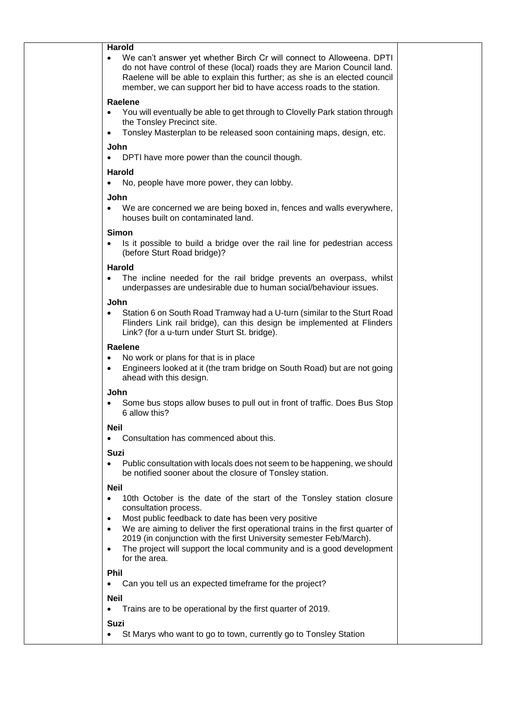| <b>Harold</b>                                                                                                                                                                                                                                                                                         |  |
|-------------------------------------------------------------------------------------------------------------------------------------------------------------------------------------------------------------------------------------------------------------------------------------------------------|--|
| We can't answer yet whether Birch Cr will connect to Alloweena. DPTI<br>do not have control of these (local) roads they are Marion Council land.<br>Raelene will be able to explain this further; as she is an elected council<br>member, we can support her bid to have access roads to the station. |  |
| Raelene                                                                                                                                                                                                                                                                                               |  |
| You will eventually be able to get through to Clovelly Park station through<br>$\bullet$<br>the Tonsley Precinct site.                                                                                                                                                                                |  |
| Tonsley Masterplan to be released soon containing maps, design, etc.<br>$\bullet$                                                                                                                                                                                                                     |  |
| John<br>DPTI have more power than the council though.                                                                                                                                                                                                                                                 |  |
| <b>Harold</b><br>No, people have more power, they can lobby.<br>$\bullet$                                                                                                                                                                                                                             |  |
| John                                                                                                                                                                                                                                                                                                  |  |
| We are concerned we are being boxed in, fences and walls everywhere,<br>houses built on contaminated land.                                                                                                                                                                                            |  |
| <b>Simon</b>                                                                                                                                                                                                                                                                                          |  |
| Is it possible to build a bridge over the rail line for pedestrian access<br>٠<br>(before Sturt Road bridge)?                                                                                                                                                                                         |  |
| Harold                                                                                                                                                                                                                                                                                                |  |
| The incline needed for the rail bridge prevents an overpass, whilst<br>underpasses are undesirable due to human social/behaviour issues.                                                                                                                                                              |  |
| John                                                                                                                                                                                                                                                                                                  |  |
| Station 6 on South Road Tramway had a U-turn (similar to the Sturt Road<br>Flinders Link rail bridge), can this design be implemented at Flinders<br>Link? (for a u-turn under Sturt St. bridge).                                                                                                     |  |
| Raelene                                                                                                                                                                                                                                                                                               |  |
| No work or plans for that is in place<br>$\bullet$<br>Engineers looked at it (the tram bridge on South Road) but are not going<br>$\bullet$<br>ahead with this design.                                                                                                                                |  |
| John                                                                                                                                                                                                                                                                                                  |  |
| Some bus stops allow buses to pull out in front of traffic. Does Bus Stop<br>6 allow this?                                                                                                                                                                                                            |  |
| <b>Neil</b>                                                                                                                                                                                                                                                                                           |  |
| Consultation has commenced about this.                                                                                                                                                                                                                                                                |  |
| Suzi                                                                                                                                                                                                                                                                                                  |  |
| Public consultation with locals does not seem to be happening, we should<br>be notified sooner about the closure of Tonsley station.                                                                                                                                                                  |  |
| <b>Neil</b>                                                                                                                                                                                                                                                                                           |  |
| 10th October is the date of the start of the Tonsley station closure<br>consultation process.                                                                                                                                                                                                         |  |
| Most public feedback to date has been very positive<br>$\bullet$                                                                                                                                                                                                                                      |  |
| We are aiming to deliver the first operational trains in the first quarter of<br>$\bullet$                                                                                                                                                                                                            |  |
| 2019 (in conjunction with the first University semester Feb/March).<br>The project will support the local community and is a good development                                                                                                                                                         |  |
| ٠<br>for the area.                                                                                                                                                                                                                                                                                    |  |
| <b>Phil</b>                                                                                                                                                                                                                                                                                           |  |
| Can you tell us an expected timeframe for the project?                                                                                                                                                                                                                                                |  |
| <b>Neil</b>                                                                                                                                                                                                                                                                                           |  |
| Trains are to be operational by the first quarter of 2019.                                                                                                                                                                                                                                            |  |
| Suzi<br>St Marys who want to go to town, currently go to Tonsley Station                                                                                                                                                                                                                              |  |
|                                                                                                                                                                                                                                                                                                       |  |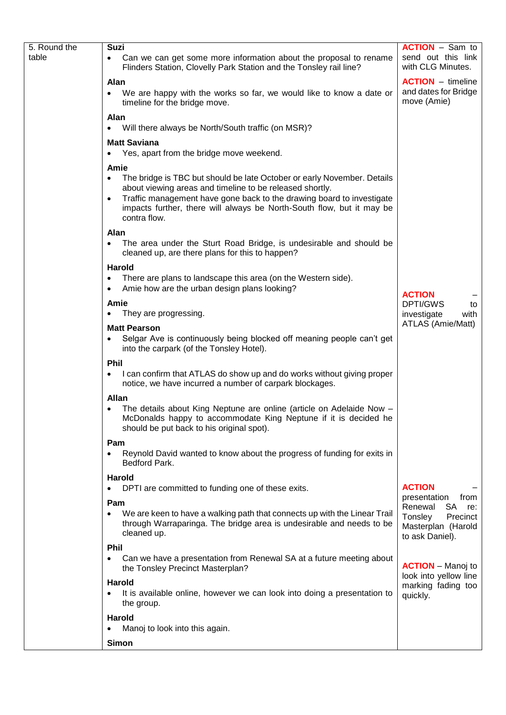| 5. Round the | Suzi                                                                                                                                                                                                                                                                                                                            | <b>ACTION</b> – Sam to                                                                      |
|--------------|---------------------------------------------------------------------------------------------------------------------------------------------------------------------------------------------------------------------------------------------------------------------------------------------------------------------------------|---------------------------------------------------------------------------------------------|
| table        | Can we can get some more information about the proposal to rename<br>Flinders Station, Clovelly Park Station and the Tonsley rail line?                                                                                                                                                                                         | send out this link<br>with CLG Minutes.                                                     |
|              | Alan<br>We are happy with the works so far, we would like to know a date or<br>timeline for the bridge move.                                                                                                                                                                                                                    | <b>ACTION</b> – timeline<br>and dates for Bridge<br>move (Amie)                             |
|              | Alan<br>Will there always be North/South traffic (on MSR)?<br>$\bullet$                                                                                                                                                                                                                                                         |                                                                                             |
|              | <b>Matt Saviana</b><br>Yes, apart from the bridge move weekend.<br>$\bullet$                                                                                                                                                                                                                                                    |                                                                                             |
|              | Amie<br>The bridge is TBC but should be late October or early November. Details<br>٠<br>about viewing areas and timeline to be released shortly.<br>Traffic management have gone back to the drawing board to investigate<br>$\bullet$<br>impacts further, there will always be North-South flow, but it may be<br>contra flow. |                                                                                             |
|              | Alan<br>The area under the Sturt Road Bridge, is undesirable and should be<br>cleaned up, are there plans for this to happen?                                                                                                                                                                                                   |                                                                                             |
|              | <b>Harold</b><br>There are plans to landscape this area (on the Western side).<br>Amie how are the urban design plans looking?                                                                                                                                                                                                  | <b>ACTION</b>                                                                               |
|              | Amie                                                                                                                                                                                                                                                                                                                            | <b>DPTI/GWS</b><br>to                                                                       |
|              | They are progressing.                                                                                                                                                                                                                                                                                                           | investigate<br>with                                                                         |
|              | <b>Matt Pearson</b><br>Selgar Ave is continuously being blocked off meaning people can't get<br>into the carpark (of the Tonsley Hotel).                                                                                                                                                                                        | ATLAS (Amie/Matt)                                                                           |
|              | <b>Phil</b><br>I can confirm that ATLAS do show up and do works without giving proper<br>$\bullet$<br>notice, we have incurred a number of carpark blockages.                                                                                                                                                                   |                                                                                             |
|              | <b>Allan</b>                                                                                                                                                                                                                                                                                                                    |                                                                                             |
|              | The details about King Neptune are online (article on Adelaide Now -<br>McDonalds happy to accommodate King Neptune if it is decided he<br>should be put back to his original spot).                                                                                                                                            |                                                                                             |
|              | Pam<br>Reynold David wanted to know about the progress of funding for exits in<br>Bedford Park.                                                                                                                                                                                                                                 |                                                                                             |
|              | <b>Harold</b><br>DPTI are committed to funding one of these exits.                                                                                                                                                                                                                                                              | <b>ACTION</b><br>presentation<br>from                                                       |
|              | Pam<br>We are keen to have a walking path that connects up with the Linear Trail<br>through Warraparinga. The bridge area is undesirable and needs to be<br>cleaned up.                                                                                                                                                         | Renewal<br><b>SA</b><br>re:<br>Tonsley<br>Precinct<br>Masterplan (Harold<br>to ask Daniel). |
|              | <b>Phil</b><br>Can we have a presentation from Renewal SA at a future meeting about<br>the Tonsley Precinct Masterplan?                                                                                                                                                                                                         | <b>ACTION</b> – Manoj to                                                                    |
|              | <b>Harold</b><br>It is available online, however we can look into doing a presentation to<br>$\bullet$<br>the group.                                                                                                                                                                                                            | look into yellow line<br>marking fading too<br>quickly.                                     |
|              | <b>Harold</b><br>Manoj to look into this again.                                                                                                                                                                                                                                                                                 |                                                                                             |
|              | Simon                                                                                                                                                                                                                                                                                                                           |                                                                                             |
|              |                                                                                                                                                                                                                                                                                                                                 |                                                                                             |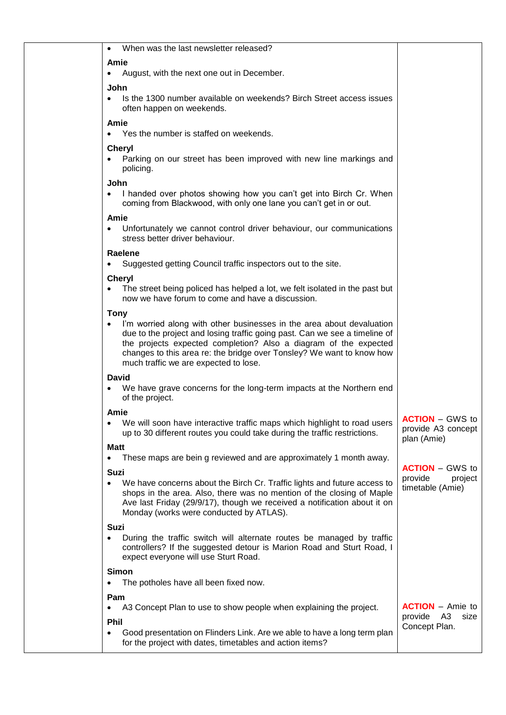| When was the last newsletter released?<br>$\bullet$                                                                                                                                                                                                                                                                                                      |                                                             |
|----------------------------------------------------------------------------------------------------------------------------------------------------------------------------------------------------------------------------------------------------------------------------------------------------------------------------------------------------------|-------------------------------------------------------------|
| Amie<br>August, with the next one out in December.                                                                                                                                                                                                                                                                                                       |                                                             |
| John<br>Is the 1300 number available on weekends? Birch Street access issues<br>$\bullet$<br>often happen on weekends.                                                                                                                                                                                                                                   |                                                             |
| Amie<br>Yes the number is staffed on weekends.                                                                                                                                                                                                                                                                                                           |                                                             |
| <b>Cheryl</b><br>Parking on our street has been improved with new line markings and<br>$\bullet$<br>policing.                                                                                                                                                                                                                                            |                                                             |
| John<br>I handed over photos showing how you can't get into Birch Cr. When<br>coming from Blackwood, with only one lane you can't get in or out.                                                                                                                                                                                                         |                                                             |
| Amie<br>Unfortunately we cannot control driver behaviour, our communications<br>$\bullet$<br>stress better driver behaviour.                                                                                                                                                                                                                             |                                                             |
| Raelene<br>Suggested getting Council traffic inspectors out to the site.                                                                                                                                                                                                                                                                                 |                                                             |
| <b>Cheryl</b><br>The street being policed has helped a lot, we felt isolated in the past but<br>now we have forum to come and have a discussion.                                                                                                                                                                                                         |                                                             |
| <b>Tony</b><br>I'm worried along with other businesses in the area about devaluation<br>due to the project and losing traffic going past. Can we see a timeline of<br>the projects expected completion? Also a diagram of the expected<br>changes to this area re: the bridge over Tonsley? We want to know how<br>much traffic we are expected to lose. |                                                             |
| <b>David</b>                                                                                                                                                                                                                                                                                                                                             |                                                             |
| We have grave concerns for the long-term impacts at the Northern end<br>of the project.                                                                                                                                                                                                                                                                  |                                                             |
| Amie                                                                                                                                                                                                                                                                                                                                                     |                                                             |
| We will soon have interactive traffic maps which highlight to road users<br>up to 30 different routes you could take during the traffic restrictions.<br>Matt                                                                                                                                                                                            | <b>ACTION - GWS to</b><br>provide A3 concept<br>plan (Amie) |
| These maps are bein g reviewed and are approximately 1 month away.<br>$\bullet$                                                                                                                                                                                                                                                                          | <b>ACTION</b> – GWS to                                      |
| Suzi<br>We have concerns about the Birch Cr. Traffic lights and future access to<br>$\bullet$<br>shops in the area. Also, there was no mention of the closing of Maple<br>Ave last Friday (29/9/17), though we received a notification about it on<br>Monday (works were conducted by ATLAS).                                                            | provide<br>project<br>timetable (Amie)                      |
| <b>Suzi</b><br>During the traffic switch will alternate routes be managed by traffic<br>$\bullet$<br>controllers? If the suggested detour is Marion Road and Sturt Road, I<br>expect everyone will use Sturt Road.                                                                                                                                       |                                                             |
| <b>Simon</b><br>The potholes have all been fixed now.                                                                                                                                                                                                                                                                                                    |                                                             |
| Pam                                                                                                                                                                                                                                                                                                                                                      |                                                             |
| A3 Concept Plan to use to show people when explaining the project.                                                                                                                                                                                                                                                                                       | <b>ACTION</b> – Amie to<br>provide<br>A3<br>size            |
| <b>Phil</b><br>Good presentation on Flinders Link. Are we able to have a long term plan<br>$\bullet$<br>for the project with dates, timetables and action items?                                                                                                                                                                                         | Concept Plan.                                               |